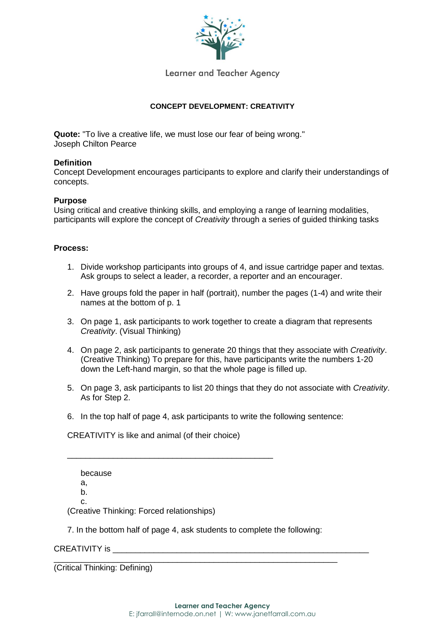

Learner and Teacher Agency

## **CONCEPT DEVELOPMENT: CREATIVITY**

**Quote:** "To live a creative life, we must lose our fear of being wrong." Joseph Chilton Pearce

## **Definition**

Concept Development encourages participants to explore and clarify their understandings of concepts.

#### **Purpose**

Using critical and creative thinking skills, and employing a range of learning modalities, participants will explore the concept of *Creativity* through a series of guided thinking tasks

### **Process:**

- 1. Divide workshop participants into groups of 4, and issue cartridge paper and textas. Ask groups to select a leader, a recorder, a reporter and an encourager.
- 2. Have groups fold the paper in half (portrait), number the pages (1-4) and write their names at the bottom of p. 1
- 3. On page 1, ask participants to work together to create a diagram that represents *Creativity*. (Visual Thinking)
- 4. On page 2, ask participants to generate 20 things that they associate with *Creativity*. (Creative Thinking) To prepare for this, have participants write the numbers 1-20 down the Left-hand margin, so that the whole page is filled up.
- 5. On page 3, ask participants to list 20 things that they do not associate with *Creativity*. As for Step 2.
- 6. In the top half of page 4, ask participants to write the following sentence:

CREATIVITY is like and animal (of their choice)

\_\_\_\_\_\_\_\_\_\_\_\_\_\_\_\_\_\_\_\_\_\_\_\_\_\_\_\_\_\_\_\_\_\_\_\_\_\_\_\_\_\_\_\_\_

because a, b. c. (Creative Thinking: Forced relationships)

7. In the bottom half of page 4, ask students to complete the following:

\_\_\_\_\_\_\_\_\_\_\_\_\_\_\_\_\_\_\_\_\_\_\_\_\_\_\_\_\_\_\_\_\_\_\_\_\_\_\_\_\_\_\_\_\_\_\_\_\_\_\_\_\_\_\_\_\_\_\_\_\_\_

## CREATIVITY is

(Critical Thinking: Defining)